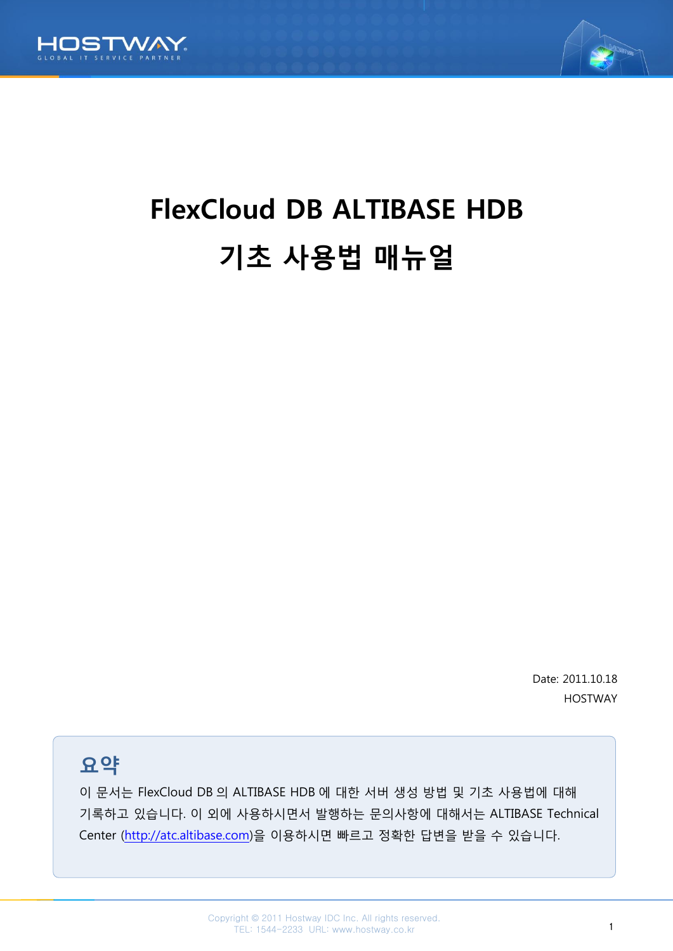



# FlexCloud DB ALTIBASE HDB 기초 사용법 매뉴얼

Date: 2011.10.18 HOSTWAY

요약

이 문서는 FlexCloud DB 의 ALTIBASE HDB 에 대한 서버 생성 방법 및 기초 사용법에 대해 기록하고 있습니다. 이 외에 사용하시면서 발행하는 문의사항에 대해서는 ALTIBASE Technical Center [\(http://atc.altibase.com\)](http://atc.altibase.com/)을 이용하시면 빠르고 정확한 답변을 받을 수 있습니다.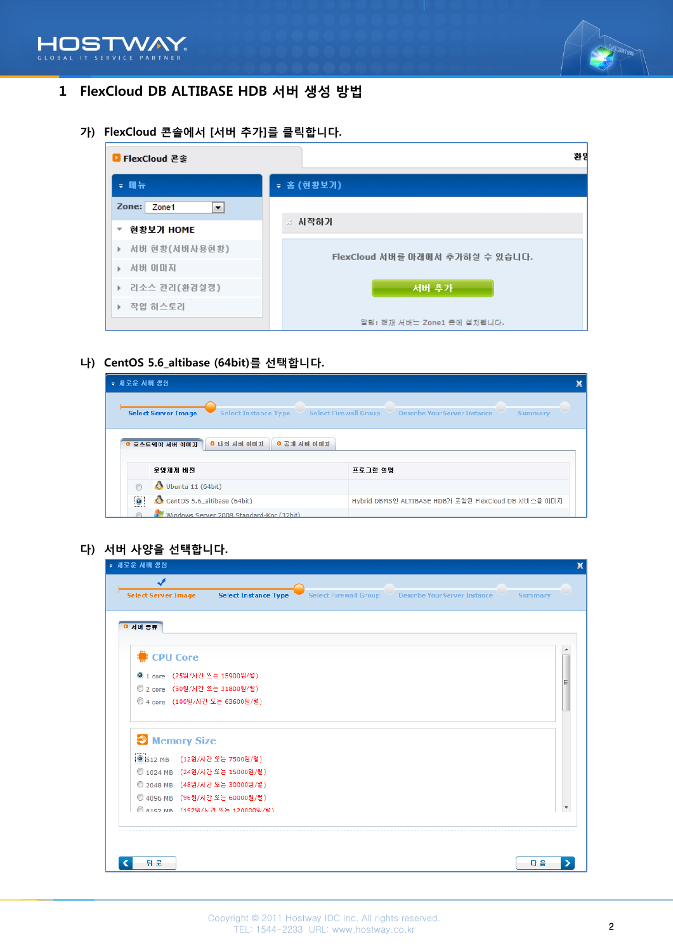



# 1 FlexCloud DB ALTIBASE HDB 서버 생성 방법

가) FlexCloud 콘솔에서 [서버 추가]를 클릭합니다.

| ■ FlexCloud 콘솔                                             | 환임                              |
|------------------------------------------------------------|---------------------------------|
| ▼ 매뉴                                                       | ▼ 홈 (현황보기)                      |
| Zone: Zone1<br>×.<br>현황보기 HOME<br>$\overline{\phantom{a}}$ | ∴ 시작하기                          |
| 서버 현황(서버사용현황)<br>Þ.<br>서버 이미지<br>b.                        | FlexCloud 서버를 아래에서 추가하실 수 있습니다. |
| ▶ 리소스 관리(환경설정)<br>▶ 작업 히스토리                                | 서버 추가                           |
|                                                            | 알림: 현재 서버는 Zone1 존에 설치됩니다.      |

나) CentOS 5.6\_altibase (64bit)를 선택합니다.

| ▼ 새로운 서버 생성                                                                                                                                  |                                                            |                                                      |  |  |  |
|----------------------------------------------------------------------------------------------------------------------------------------------|------------------------------------------------------------|------------------------------------------------------|--|--|--|
| <b>Select Server Image</b><br><b>Describe Your Server Instance</b><br><b>Select Instance Type</b><br><b>Select Firewall Group</b><br>Summary |                                                            |                                                      |  |  |  |
|                                                                                                                                              | 0 나의 서버 이미지<br><b>0 공개 서버 이미지</b><br><b>0 호스트웨이 서버 이미지</b> |                                                      |  |  |  |
|                                                                                                                                              | 운영체제 버전                                                    | 프로그램 설명                                              |  |  |  |
| ⋒                                                                                                                                            | Ubuntu 11 (64bit)                                          |                                                      |  |  |  |
| $\bullet$                                                                                                                                    | CentOS 5.6_altibase (64bit)                                | Hybrid DBMS인 ALTIBASE HDB가 포함된 FlexCloud DB 서비스용 이미지 |  |  |  |
|                                                                                                                                              | Windows Server 2008 Standard-Kor (32bit)                   |                                                      |  |  |  |

다) 서버 사양을 선택합니다.

| ▼ 새로운 서버 생성                                                        |                                                     |                |
|--------------------------------------------------------------------|-----------------------------------------------------|----------------|
| J<br><b>Select Server Image</b><br><b>Select Instance Type</b>     | Select Firewall Group Describe Your Server Instance | <b>Summary</b> |
| <b>0 서버 종류</b>                                                     |                                                     |                |
| <b>SECPU Core</b>                                                  |                                                     |                |
| ◎ 1 core (25원/시간 또는 15900원/월)                                      |                                                     |                |
| © 2 core (50원/시간 또는 31800원/월)                                      |                                                     | Ξ              |
| ◎ 4 core (100원/시간 또는 63600원/월)                                     |                                                     |                |
| Memory Size                                                        |                                                     |                |
| ◎ 512 MB (12원/시간 또는 7500원/월)                                       |                                                     |                |
| ◎ 1024 MB (24원/시간 또는 15000원/월)                                     |                                                     |                |
| ◎ 2048 MB (48원/시간 또는 30000원/월)                                     |                                                     |                |
| ◎ 4096 MB (96원/시간 또는 60000원/월)<br>◎ 8192 MB (192욃/시간 또는 120000읿/왕) |                                                     |                |
|                                                                    |                                                     |                |
|                                                                    |                                                     |                |
|                                                                    |                                                     |                |
| 뒤 로                                                                |                                                     | 다음             |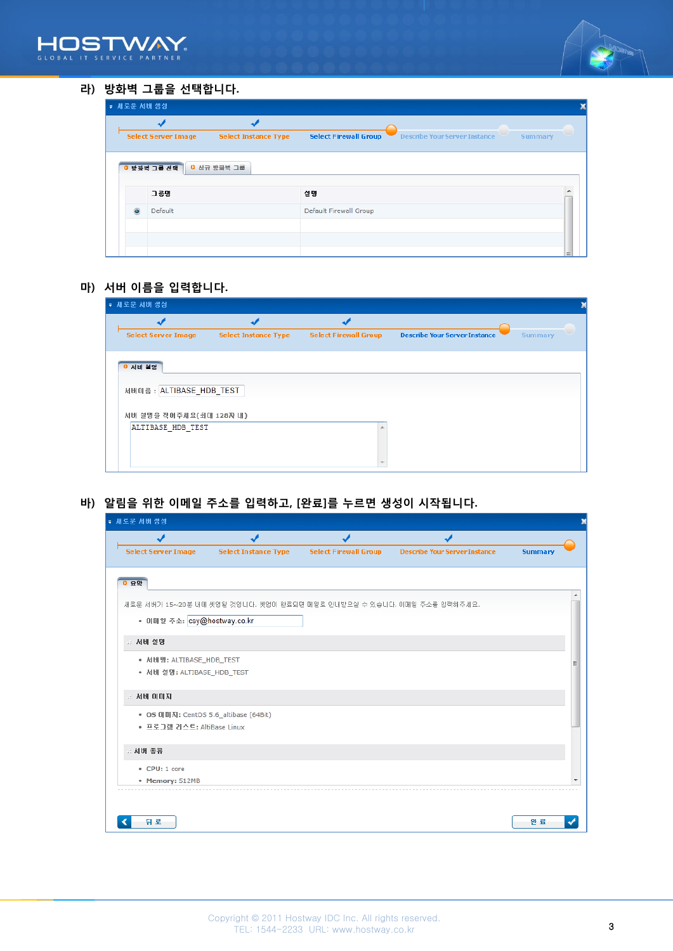



#### 라) 방화벽 그룹을 선택합니다.

| ▼ 새로운 서버 생성 |                            |                             |                                                                                        |     |
|-------------|----------------------------|-----------------------------|----------------------------------------------------------------------------------------|-----|
|             | <b>Select Server Image</b> | <b>Select Instance Type</b> | <b>Select Firewall Group</b><br><b>Describe Your Server Instance</b><br><b>Summary</b> |     |
|             | 0 방화벽 그룹 선택<br>그룹명         | 0 신규 방화벽 그룹                 | 설명                                                                                     |     |
| $\odot$     | Default                    |                             | Default Firewall Group                                                                 |     |
|             |                            |                             |                                                                                        | $=$ |

#### 마) 서버 이름을 입력합니다.

| ▼ 새로운 서버 생성                |                             |                              |                                      |         |  |
|----------------------------|-----------------------------|------------------------------|--------------------------------------|---------|--|
| <b>Select Server Image</b> | <b>Select Instance Type</b> | <b>Select Firewall Group</b> | <b>Describe Your Server Instance</b> | Summary |  |
|                            |                             |                              |                                      |         |  |
| 이 서버 설명                    |                             |                              |                                      |         |  |
| 서버이즘 : ALTIBASE_HDB_TEST   |                             |                              |                                      |         |  |
| 서버 설명을 적어주세요(최대 128자 내)    |                             |                              |                                      |         |  |
| ALTIBASE HDB TEST          |                             |                              |                                      |         |  |
|                            |                             |                              |                                      |         |  |

바) 알림을 위한 이메일 주소를 입력하고, [완료]를 누르면 생성이 시작됩니다.

| ▼ 새로운 서버 생성                           |                                                                        |                              |                                      |                |  |  |
|---------------------------------------|------------------------------------------------------------------------|------------------------------|--------------------------------------|----------------|--|--|
|                                       |                                                                        |                              |                                      |                |  |  |
| <b>Select Server Image</b>            | <b>Select Instance Type</b>                                            | <b>Select Firewall Group</b> | <b>Describe Your Server Instance</b> | <b>Summary</b> |  |  |
|                                       |                                                                        |                              |                                      |                |  |  |
| 0 요약                                  |                                                                        |                              |                                      |                |  |  |
|                                       | 새로운 서버가 15~20분 내에 셋업될 것입니다. 셋업이 완료되면 메일로 안내받으실 수 있습니다. 이메일 주소를 입력해주세요. |                              |                                      |                |  |  |
| • 미메일 주소: csy@hostway.co.kr           |                                                                        |                              |                                      |                |  |  |
| .: 서버 설명                              |                                                                        |                              |                                      |                |  |  |
| • 서버명: ALTIBASE_HDB_TEST              |                                                                        |                              |                                      |                |  |  |
| • 서버 설명: ALTIBASE_HDB_TEST            |                                                                        |                              |                                      |                |  |  |
| 서버 이미지                                |                                                                        |                              |                                      |                |  |  |
| • OS 이미지: CentOS 5.6_altibase (64Bit) |                                                                        |                              |                                      |                |  |  |
| • 프로그램 리스트: AltiBase Linux            |                                                                        |                              |                                      |                |  |  |
| ∴ 서버 종류                               |                                                                        |                              |                                      |                |  |  |
| • CPU: 1 core                         |                                                                        |                              |                                      |                |  |  |
| • Memory: 512MB                       |                                                                        |                              |                                      |                |  |  |
|                                       |                                                                        |                              |                                      |                |  |  |
|                                       |                                                                        |                              |                                      |                |  |  |
| 뒤 로                                   |                                                                        |                              |                                      | 완료             |  |  |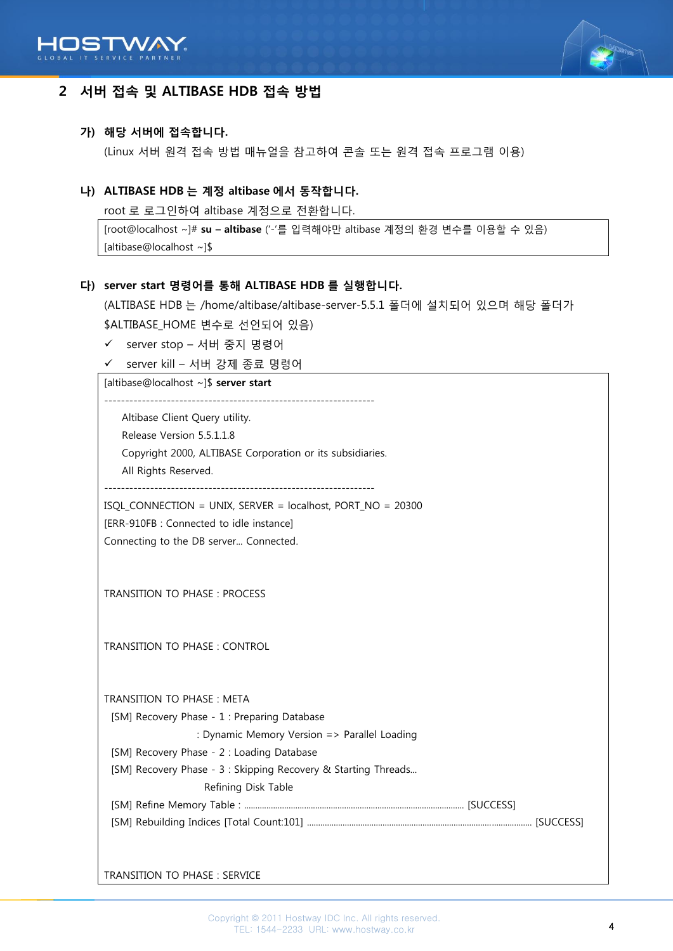



## 2 서버 접속 및 ALTIBASE HDB 접속 방법

#### 가) 해당 서버에 접속합니다.

(Linux 서버 원격 접속 방법 매뉴얼을 참고하여 콘솔 또는 원격 접속 프로그램 이용)

#### 나) ALTIBASE HDB 는 계정 altibase 에서 동작합니다.

root 로 로그인하여 altibase 계정으로 전환합니다.

```
[root@localhost ~]# su - altibase ('-'를 입력해야만 altibase 계정의 환경 변수를 이용할 수 있음)
[altibase@localhost ~]$
```
#### 다) server start 명령어를 통해 ALTIBASE HDB 를 실행합니다.

(ALTIBASE HDB 는 /home/altibase/altibase-server-5.5.1 폴더에 설치되어 있으며 해당 폴더가 \$ALTIBASE\_HOME 변수로 선언되어 있음)

- server stop 서버 중지 명령어
- server kill 서버 강제 종료 명령어

[altibase@localhost ~]\$ server start

----------------------------------------------------------------- Altibase Client Query utility. Release Version 5.5.1.1.8 Copyright 2000, ALTIBASE Corporation or its subsidiaries. All Rights Reserved. -----------------------------------------------------------------

ISQL\_CONNECTION = UNIX, SERVER = localhost, PORT\_NO = 20300 [ERR-910FB : Connected to idle instance] Connecting to the DB server... Connected.

TRANSITION TO PHASE : PROCESS

TRANSITION TO PHASE : CONTROL

TRANSITION TO PHASE : META

[SM] Recovery Phase - 1 : Preparing Database

: Dynamic Memory Version => Parallel Loading

[SM] Recovery Phase - 2 : Loading Database

[SM] Recovery Phase - 3 : Skipping Recovery & Starting Threads...

Refining Disk Table

[SM] Refine Memory Table : ................................................................................................... [SUCCESS]

[SM] Rebuilding Indices [Total Count:101] ..................................................................................................... [SUCCESS]

TRANSITION TO PHASE : SERVICE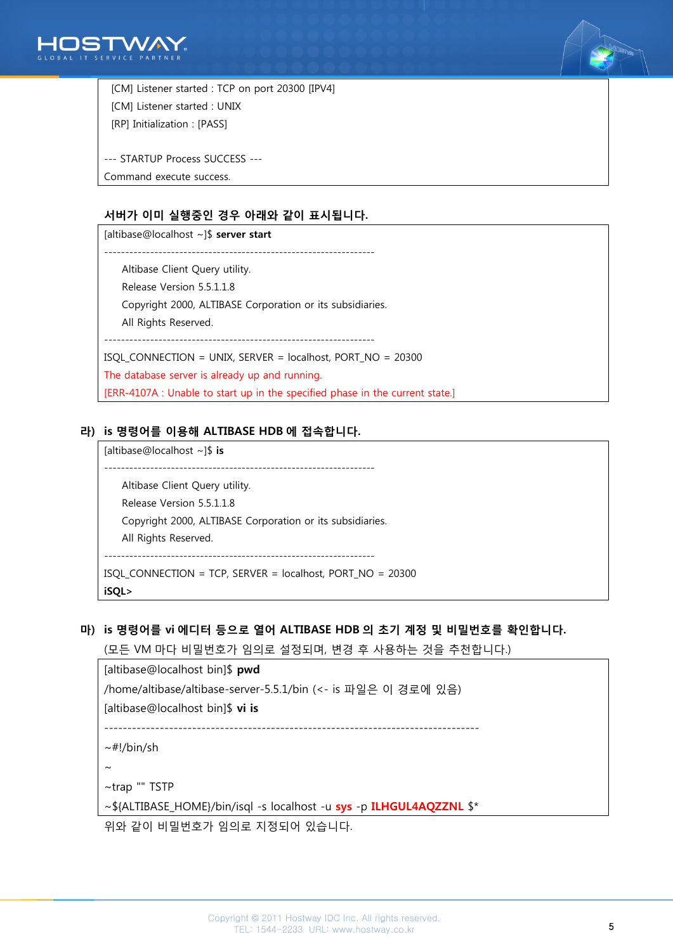



 [CM] Listener started : TCP on port 20300 [IPV4] [CM] Listener started : UNIX [RP] Initialization : [PASS]

--- STARTUP Process SUCCESS ---

Command execute success.

#### 서버가 이미 실행중인 경우 아래와 같이 표시됩니다.

[altibase@localhost ~]\$ server start ----------------------------------------------------------------- Altibase Client Query utility. Release Version 5.5.1.1.8 Copyright 2000, ALTIBASE Corporation or its subsidiaries. All Rights Reserved. ----------------------------------------------------------------- ISQL\_CONNECTION = UNIX, SERVER = localhost, PORT\_NO = 20300 The database server is already up and running. [ERR-4107A : Unable to start up in the specified phase in the current state.]

### 라) is 명령어를 이용해 ALTIBASE HDB 에 접속합니다.

[altibase@localhost ~]\$ is -----------------------------------------------------------------

 Altibase Client Query utility. Release Version 5.5.1.1.8 Copyright 2000, ALTIBASE Corporation or its subsidiaries. All Rights Reserved. ----------------------------------------------------------------- ISQL\_CONNECTION = TCP, SERVER = localhost, PORT\_NO = 20300

iSQL>

#### 마) is 명령어를 vi 에디터 등으로 열어 ALTIBASE HDB 의 초기 계정 및 비밀번호를 확인합니다.

(모든 VM 마다 비밀번호가 임의로 설정되며, 변경 후 사용하는 것을 추천합니다.)

[altibase@localhost bin]\$ pwd

/home/altibase/altibase-server-5.5.1/bin (<- is 파일은 이 경로에 있음)

[altibase@localhost bin]\$ vi is

 $-$ 

 $\sim$ #!/bin/sh

 $\sim$ 

~trap "" TSTP

~\${ALTIBASE\_HOME}/bin/isql -s localhost -u sys -p ILHGUL4AQZZNL \$\*

위와 같이 비밀번호가 임의로 지정되어 있습니다.